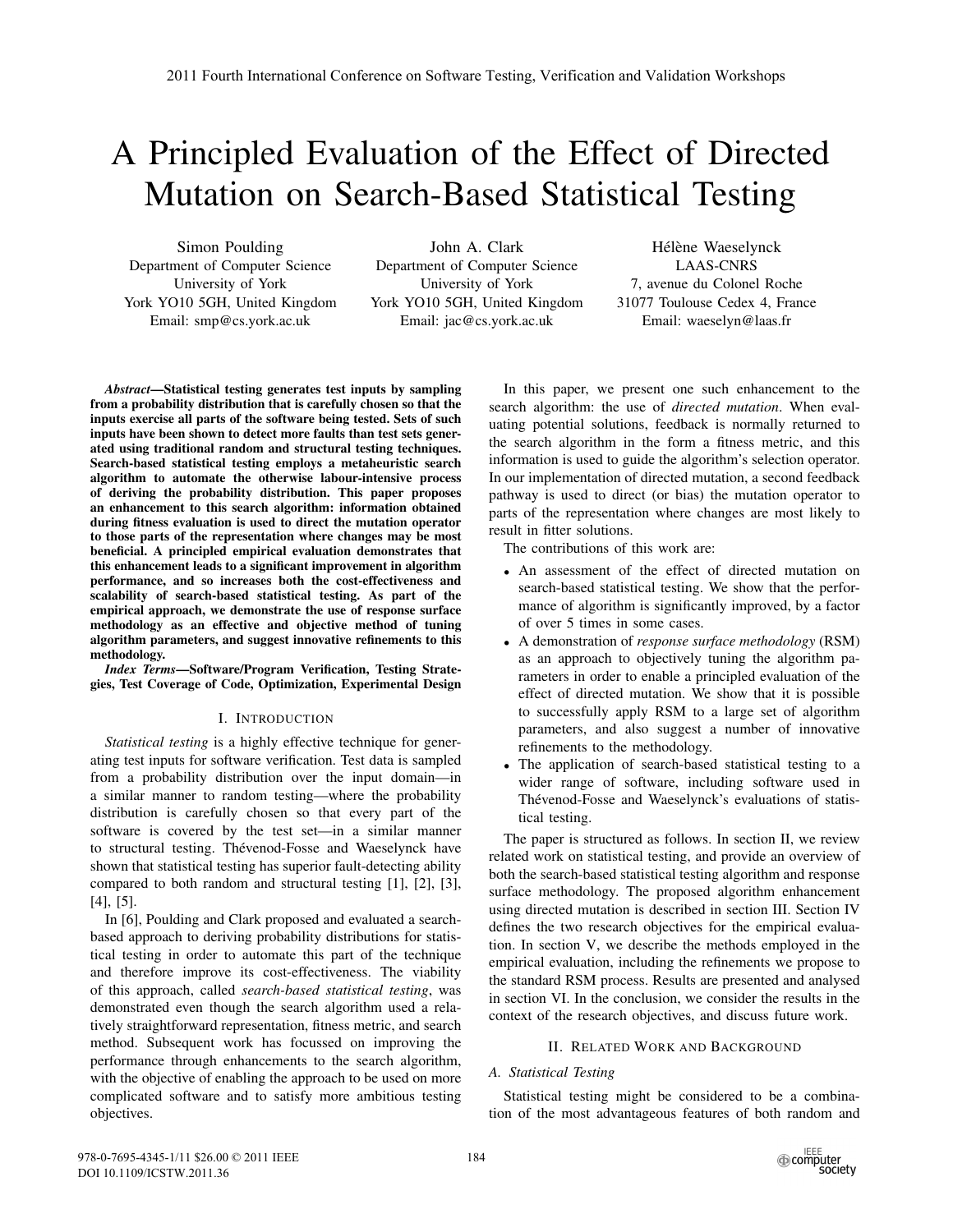# A Principled Evaluation of the Effect of Directed Mutation on Search-Based Statistical Testing

Simon Poulding Department of Computer Science University of York York YO10 5GH, United Kingdom Email: smp@cs.york.ac.uk

John A. Clark Department of Computer Science University of York York YO10 5GH, United Kingdom Email: jac@cs.york.ac.uk

Hélène Waeselynck LAAS-CNRS 7, avenue du Colonel Roche 31077 Toulouse Cedex 4, France Email: waeselyn@laas.fr

*Abstract***—Statistical testing generates test inputs by sampling from a probability distribution that is carefully chosen so that the inputs exercise all parts of the software being tested. Sets of such inputs have been shown to detect more faults than test sets generated using traditional random and structural testing techniques. Search-based statistical testing employs a metaheuristic search algorithm to automate the otherwise labour-intensive process of deriving the probability distribution. This paper proposes an enhancement to this search algorithm: information obtained during fitness evaluation is used to direct the mutation operator to those parts of the representation where changes may be most beneficial. A principled empirical evaluation demonstrates that this enhancement leads to a significant improvement in algorithm performance, and so increases both the cost-effectiveness and scalability of search-based statistical testing. As part of the empirical approach, we demonstrate the use of response surface methodology as an effective and objective method of tuning algorithm parameters, and suggest innovative refinements to this methodology.**

*Index Terms***—Software/Program Verification, Testing Strategies, Test Coverage of Code, Optimization, Experimental Design**

## I. INTRODUCTION

*Statistical testing* is a highly effective technique for generating test inputs for software verification. Test data is sampled from a probability distribution over the input domain—in a similar manner to random testing—where the probability distribution is carefully chosen so that every part of the software is covered by the test set—in a similar manner to structural testing. Thévenod-Fosse and Waeselynck have shown that statistical testing has superior fault-detecting ability compared to both random and structural testing [1], [2], [3], [4], [5].

In [6], Poulding and Clark proposed and evaluated a searchbased approach to deriving probability distributions for statistical testing in order to automate this part of the technique and therefore improve its cost-effectiveness. The viability of this approach, called *search-based statistical testing*, was demonstrated even though the search algorithm used a relatively straightforward representation, fitness metric, and search method. Subsequent work has focussed on improving the performance through enhancements to the search algorithm, with the objective of enabling the approach to be used on more complicated software and to satisfy more ambitious testing objectives.

In this paper, we present one such enhancement to the search algorithm: the use of *directed mutation*. When evaluating potential solutions, feedback is normally returned to the search algorithm in the form a fitness metric, and this information is used to guide the algorithm's selection operator. In our implementation of directed mutation, a second feedback pathway is used to direct (or bias) the mutation operator to parts of the representation where changes are most likely to result in fitter solutions.

The contributions of this work are:

- <sup>∙</sup> An assessment of the effect of directed mutation on search-based statistical testing. We show that the performance of algorithm is significantly improved, by a factor of over 5 times in some cases.
- <sup>∙</sup> A demonstration of *response surface methodology* (RSM) as an approach to objectively tuning the algorithm parameters in order to enable a principled evaluation of the effect of directed mutation. We show that it is possible to successfully apply RSM to a large set of algorithm parameters, and also suggest a number of innovative refinements to the methodology.
- <sup>∙</sup> The application of search-based statistical testing to a wider range of software, including software used in Thévenod-Fosse and Waeselynck's evaluations of statistical testing.

The paper is structured as follows. In section II, we review related work on statistical testing, and provide an overview of both the search-based statistical testing algorithm and response surface methodology. The proposed algorithm enhancement using directed mutation is described in section III. Section IV defines the two research objectives for the empirical evaluation. In section V, we describe the methods employed in the empirical evaluation, including the refinements we propose to the standard RSM process. Results are presented and analysed in section VI. In the conclusion, we consider the results in the context of the research objectives, and discuss future work.

## II. RELATED WORK AND BACKGROUND

# *A. Statistical Testing*

Statistical testing might be considered to be a combination of the most advantageous features of both random and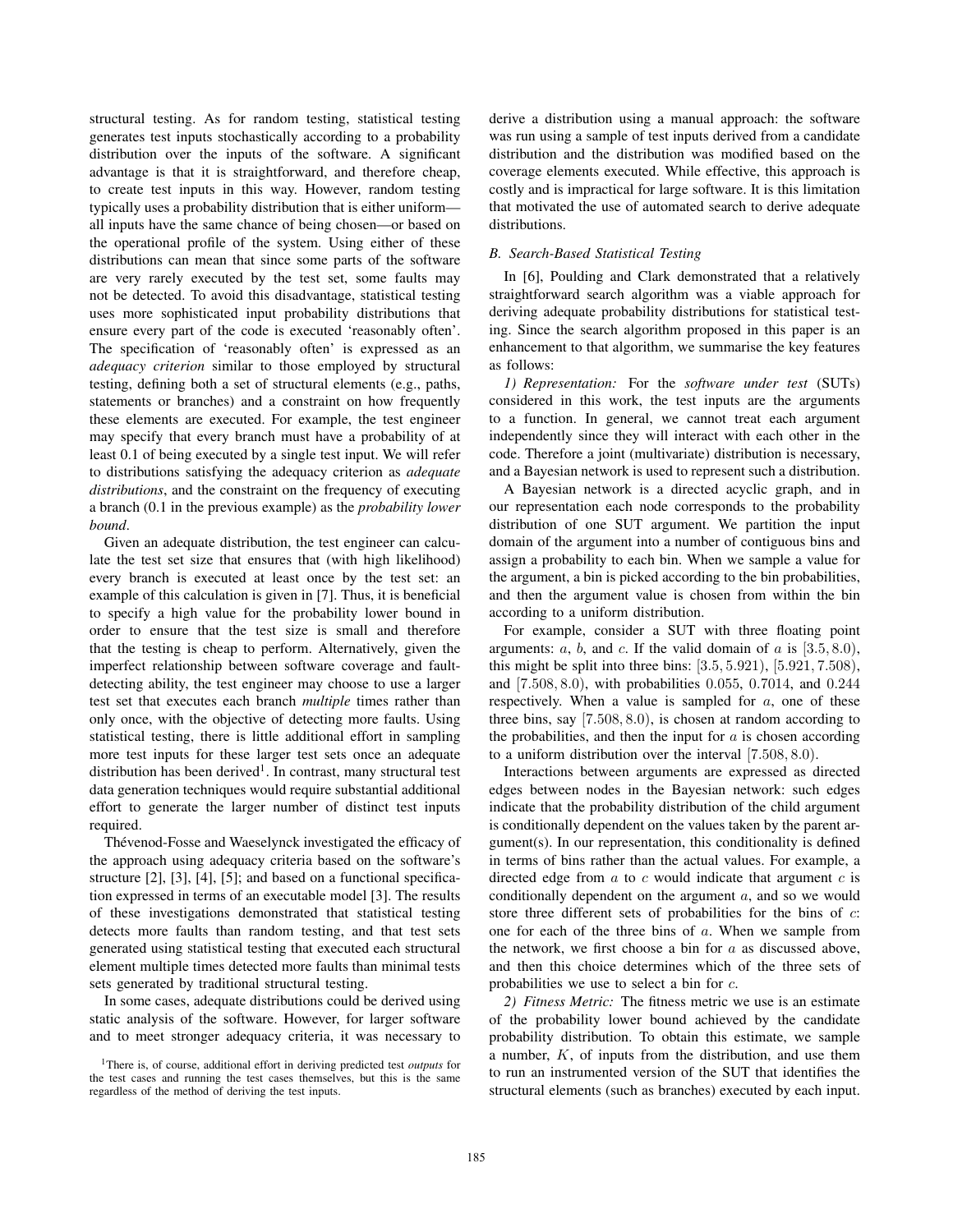structural testing. As for random testing, statistical testing generates test inputs stochastically according to a probability distribution over the inputs of the software. A significant advantage is that it is straightforward, and therefore cheap, to create test inputs in this way. However, random testing typically uses a probability distribution that is either uniform all inputs have the same chance of being chosen—or based on the operational profile of the system. Using either of these distributions can mean that since some parts of the software are very rarely executed by the test set, some faults may not be detected. To avoid this disadvantage, statistical testing uses more sophisticated input probability distributions that ensure every part of the code is executed 'reasonably often'. The specification of 'reasonably often' is expressed as an *adequacy criterion* similar to those employed by structural testing, defining both a set of structural elements (e.g., paths, statements or branches) and a constraint on how frequently these elements are executed. For example, the test engineer may specify that every branch must have a probability of at least 0.1 of being executed by a single test input. We will refer to distributions satisfying the adequacy criterion as *adequate distributions*, and the constraint on the frequency of executing a branch (0.1 in the previous example) as the *probability lower bound*.

Given an adequate distribution, the test engineer can calculate the test set size that ensures that (with high likelihood) every branch is executed at least once by the test set: an example of this calculation is given in [7]. Thus, it is beneficial to specify a high value for the probability lower bound in order to ensure that the test size is small and therefore that the testing is cheap to perform. Alternatively, given the imperfect relationship between software coverage and faultdetecting ability, the test engineer may choose to use a larger test set that executes each branch *multiple* times rather than only once, with the objective of detecting more faults. Using statistical testing, there is little additional effort in sampling more test inputs for these larger test sets once an adequate distribution has been derived<sup>1</sup>. In contrast, many structural test data generation techniques would require substantial additional effort to generate the larger number of distinct test inputs required.

Thévenod-Fosse and Waeselynck investigated the efficacy of the approach using adequacy criteria based on the software's structure [2], [3], [4], [5]; and based on a functional specification expressed in terms of an executable model [3]. The results of these investigations demonstrated that statistical testing detects more faults than random testing, and that test sets generated using statistical testing that executed each structural element multiple times detected more faults than minimal tests sets generated by traditional structural testing.

In some cases, adequate distributions could be derived using static analysis of the software. However, for larger software and to meet stronger adequacy criteria, it was necessary to derive a distribution using a manual approach: the software was run using a sample of test inputs derived from a candidate distribution and the distribution was modified based on the coverage elements executed. While effective, this approach is costly and is impractical for large software. It is this limitation that motivated the use of automated search to derive adequate distributions.

# *B. Search-Based Statistical Testing*

In [6], Poulding and Clark demonstrated that a relatively straightforward search algorithm was a viable approach for deriving adequate probability distributions for statistical testing. Since the search algorithm proposed in this paper is an enhancement to that algorithm, we summarise the key features as follows:

*1) Representation:* For the *software under test* (SUTs) considered in this work, the test inputs are the arguments to a function. In general, we cannot treat each argument independently since they will interact with each other in the code. Therefore a joint (multivariate) distribution is necessary, and a Bayesian network is used to represent such a distribution.

A Bayesian network is a directed acyclic graph, and in our representation each node corresponds to the probability distribution of one SUT argument. We partition the input domain of the argument into a number of contiguous bins and assign a probability to each bin. When we sample a value for the argument, a bin is picked according to the bin probabilities, and then the argument value is chosen from within the bin according to a uniform distribution.

For example, consider a SUT with three floating point arguments:  $a, b$ , and  $c$ . If the valid domain of  $a$  is [3.5, 8.0), this might be split into three bins: [3.5, 5.921), [5.921, 7.508), and [7.508, 8.0), with probabilities 0.055, 0.7014, and 0.244 respectively. When a value is sampled for  $a$ , one of these three bins, say [7.508, 8.0), is chosen at random according to the probabilities, and then the input for  $a$  is chosen according to a uniform distribution over the interval [7.508, 8.0).

Interactions between arguments are expressed as directed edges between nodes in the Bayesian network: such edges indicate that the probability distribution of the child argument is conditionally dependent on the values taken by the parent argument(s). In our representation, this conditionality is defined in terms of bins rather than the actual values. For example, a directed edge from  $a$  to  $c$  would indicate that argument  $c$  is conditionally dependent on the argument  $a$ , and so we would store three different sets of probabilities for the bins of  $c$ : one for each of the three bins of  $a$ . When we sample from the network, we first choose a bin for  $a$  as discussed above, and then this choice determines which of the three sets of probabilities we use to select a bin for  $c$ .

*2) Fitness Metric:* The fitness metric we use is an estimate of the probability lower bound achieved by the candidate probability distribution. To obtain this estimate, we sample a number,  $K$ , of inputs from the distribution, and use them to run an instrumented version of the SUT that identifies the structural elements (such as branches) executed by each input.

<sup>1</sup>There is, of course, additional effort in deriving predicted test *outputs* for the test cases and running the test cases themselves, but this is the same regardless of the method of deriving the test inputs.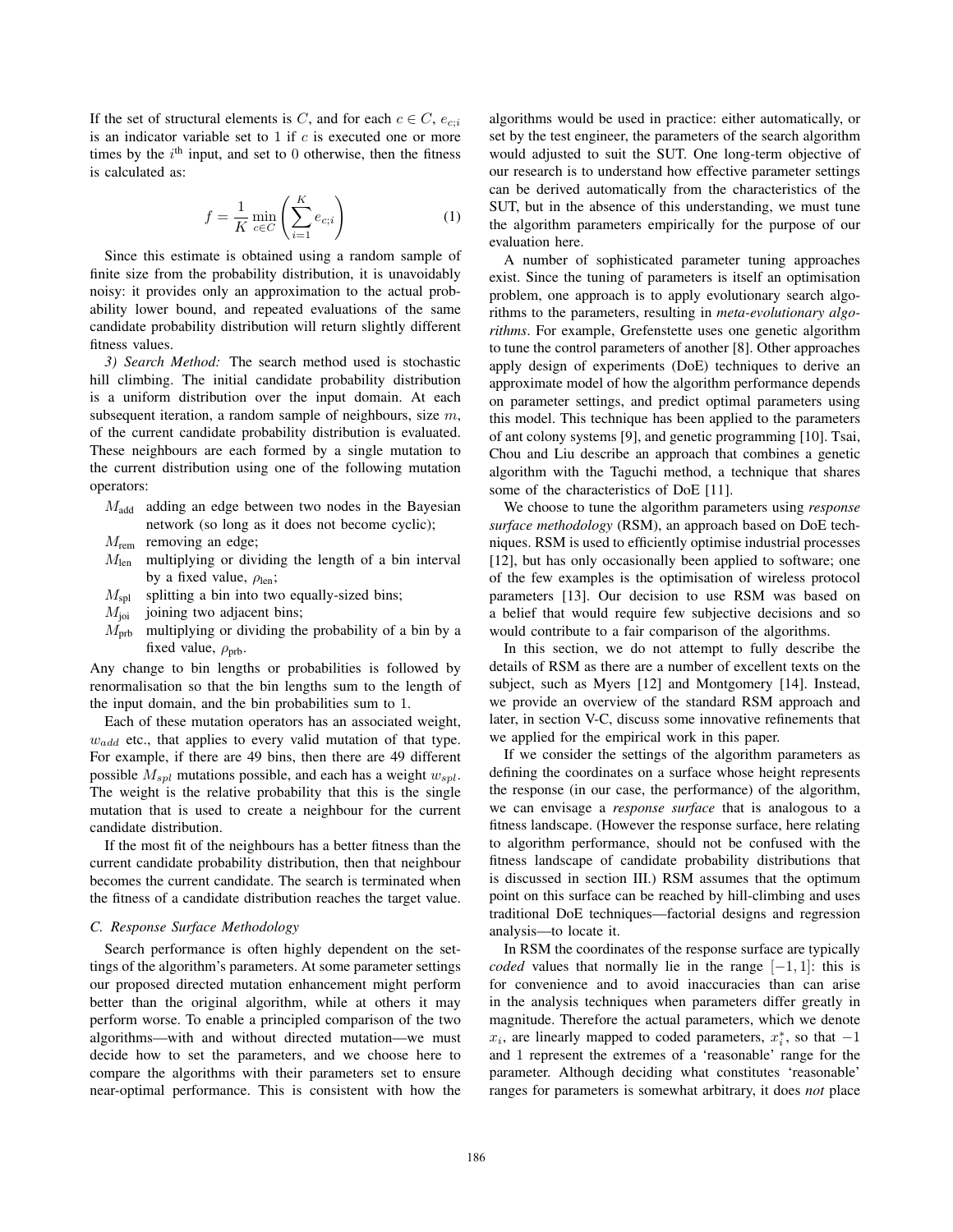If the set of structural elements is C, and for each  $c \in C$ ,  $e_{c,i}$ is an indicator variable set to  $1$  if  $c$  is executed one or more times by the  $i<sup>th</sup>$  input, and set to 0 otherwise, then the fitness is calculated as:

$$
f = \frac{1}{K} \min_{c \in C} \left( \sum_{i=1}^{K} e_{c;i} \right)
$$
 (1)

Since this estimate is obtained using a random sample of finite size from the probability distribution, it is unavoidably noisy: it provides only an approximation to the actual probability lower bound, and repeated evaluations of the same candidate probability distribution will return slightly different fitness values.

*3) Search Method:* The search method used is stochastic hill climbing. The initial candidate probability distribution is a uniform distribution over the input domain. At each subsequent iteration, a random sample of neighbours, size  $m$ , of the current candidate probability distribution is evaluated. These neighbours are each formed by a single mutation to the current distribution using one of the following mutation operators:

- $M_{\text{add}}$  adding an edge between two nodes in the Bayesian network (so long as it does not become cyclic);
- $M_{\text{rem}}$  removing an edge;
- $M_{\text{len}}$  multiplying or dividing the length of a bin interval by a fixed value,  $\rho_{len}$ ;
- $M_{\rm sol}$  splitting a bin into two equally-sized bins;
- $M_{\text{ioi}}$  joining two adjacent bins;
- $M<sub>prb</sub>$  multiplying or dividing the probability of a bin by a fixed value,  $\rho_{\text{prb}}$ .

Any change to bin lengths or probabilities is followed by renormalisation so that the bin lengths sum to the length of the input domain, and the bin probabilities sum to 1.

Each of these mutation operators has an associated weight,  $w_{add}$  etc., that applies to every valid mutation of that type. For example, if there are 49 bins, then there are 49 different possible  $M_{spl}$  mutations possible, and each has a weight  $w_{spl}$ . The weight is the relative probability that this is the single mutation that is used to create a neighbour for the current candidate distribution.

If the most fit of the neighbours has a better fitness than the current candidate probability distribution, then that neighbour becomes the current candidate. The search is terminated when the fitness of a candidate distribution reaches the target value.

#### *C. Response Surface Methodology*

Search performance is often highly dependent on the settings of the algorithm's parameters. At some parameter settings our proposed directed mutation enhancement might perform better than the original algorithm, while at others it may perform worse. To enable a principled comparison of the two algorithms—with and without directed mutation—we must decide how to set the parameters, and we choose here to compare the algorithms with their parameters set to ensure near-optimal performance. This is consistent with how the algorithms would be used in practice: either automatically, or set by the test engineer, the parameters of the search algorithm would adjusted to suit the SUT. One long-term objective of our research is to understand how effective parameter settings can be derived automatically from the characteristics of the SUT, but in the absence of this understanding, we must tune the algorithm parameters empirically for the purpose of our evaluation here.

A number of sophisticated parameter tuning approaches exist. Since the tuning of parameters is itself an optimisation problem, one approach is to apply evolutionary search algorithms to the parameters, resulting in *meta-evolutionary algorithms*. For example, Grefenstette uses one genetic algorithm to tune the control parameters of another [8]. Other approaches apply design of experiments (DoE) techniques to derive an approximate model of how the algorithm performance depends on parameter settings, and predict optimal parameters using this model. This technique has been applied to the parameters of ant colony systems [9], and genetic programming [10]. Tsai, Chou and Liu describe an approach that combines a genetic algorithm with the Taguchi method, a technique that shares some of the characteristics of DoE [11].

We choose to tune the algorithm parameters using *response surface methodology* (RSM), an approach based on DoE techniques. RSM is used to efficiently optimise industrial processes [12], but has only occasionally been applied to software; one of the few examples is the optimisation of wireless protocol parameters [13]. Our decision to use RSM was based on a belief that would require few subjective decisions and so would contribute to a fair comparison of the algorithms.

In this section, we do not attempt to fully describe the details of RSM as there are a number of excellent texts on the subject, such as Myers [12] and Montgomery [14]. Instead, we provide an overview of the standard RSM approach and later, in section V-C, discuss some innovative refinements that we applied for the empirical work in this paper.

If we consider the settings of the algorithm parameters as defining the coordinates on a surface whose height represents the response (in our case, the performance) of the algorithm, we can envisage a *response surface* that is analogous to a fitness landscape. (However the response surface, here relating to algorithm performance, should not be confused with the fitness landscape of candidate probability distributions that is discussed in section III.) RSM assumes that the optimum point on this surface can be reached by hill-climbing and uses traditional DoE techniques—factorial designs and regression analysis—to locate it.

In RSM the coordinates of the response surface are typically *coded* values that normally lie in the range  $[-1, 1]$ : this is for convenience and to avoid inaccuracies than can arise in the analysis techniques when parameters differ greatly in magnitude. Therefore the actual parameters, which we denote  $x_i$ , are linearly mapped to coded parameters,  $x_i^*$ , so that  $-1$ and 1 represent the extremes of a 'reasonable' range for the parameter. Although deciding what constitutes 'reasonable' ranges for parameters is somewhat arbitrary, it does *not* place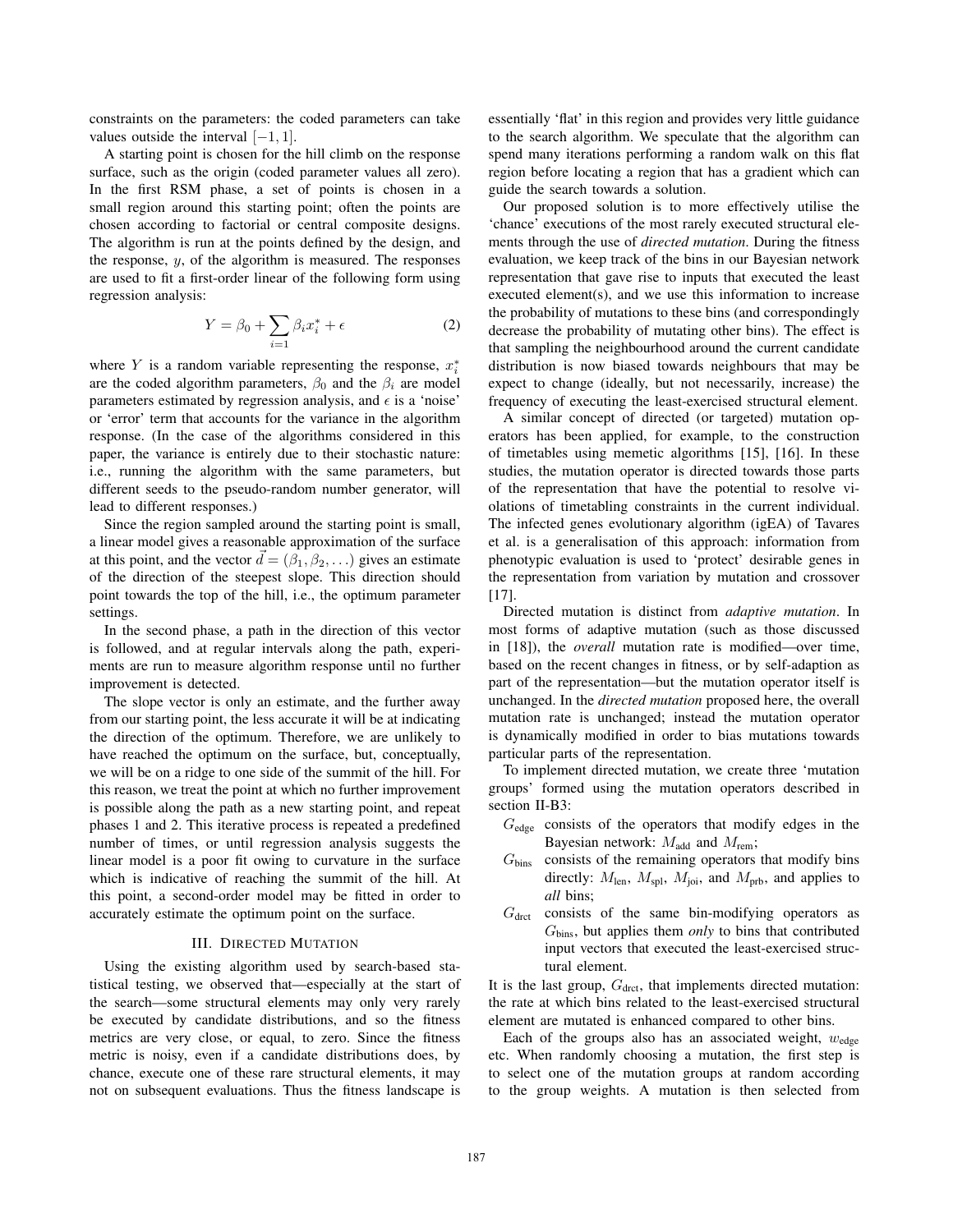constraints on the parameters: the coded parameters can take values outside the interval  $[-1, 1]$ .

A starting point is chosen for the hill climb on the response surface, such as the origin (coded parameter values all zero). In the first RSM phase, a set of points is chosen in a small region around this starting point; often the points are chosen according to factorial or central composite designs. The algorithm is run at the points defined by the design, and the response,  $y$ , of the algorithm is measured. The responses are used to fit a first-order linear of the following form using regression analysis:

$$
Y = \beta_0 + \sum_{i=1} \beta_i x_i^* + \epsilon \tag{2}
$$

where Y is a random variable representing the response,  $x_i^*$ are the coded algorithm parameters,  $\beta_0$  and the  $\beta_i$  are model parameters estimated by regression analysis, and  $\epsilon$  is a 'noise' or 'error' term that accounts for the variance in the algorithm response. (In the case of the algorithms considered in this paper, the variance is entirely due to their stochastic nature: i.e., running the algorithm with the same parameters, but different seeds to the pseudo-random number generator, will lead to different responses.)

Since the region sampled around the starting point is small, a linear model gives a reasonable approximation of the surface at this point, and the vector  $\vec{d} = (\hat{\beta_1}, \hat{\beta_2}, \ldots)$  gives an estimate of the direction of the steepest slope. This direction should point towards the top of the hill, i.e., the optimum parameter settings.

In the second phase, a path in the direction of this vector is followed, and at regular intervals along the path, experiments are run to measure algorithm response until no further improvement is detected.

The slope vector is only an estimate, and the further away from our starting point, the less accurate it will be at indicating the direction of the optimum. Therefore, we are unlikely to have reached the optimum on the surface, but, conceptually, we will be on a ridge to one side of the summit of the hill. For this reason, we treat the point at which no further improvement is possible along the path as a new starting point, and repeat phases 1 and 2. This iterative process is repeated a predefined number of times, or until regression analysis suggests the linear model is a poor fit owing to curvature in the surface which is indicative of reaching the summit of the hill. At this point, a second-order model may be fitted in order to accurately estimate the optimum point on the surface.

#### III. DIRECTED MUTATION

Using the existing algorithm used by search-based statistical testing, we observed that—especially at the start of the search—some structural elements may only very rarely be executed by candidate distributions, and so the fitness metrics are very close, or equal, to zero. Since the fitness metric is noisy, even if a candidate distributions does, by chance, execute one of these rare structural elements, it may not on subsequent evaluations. Thus the fitness landscape is

essentially 'flat' in this region and provides very little guidance to the search algorithm. We speculate that the algorithm can spend many iterations performing a random walk on this flat region before locating a region that has a gradient which can guide the search towards a solution.

Our proposed solution is to more effectively utilise the 'chance' executions of the most rarely executed structural elements through the use of *directed mutation*. During the fitness evaluation, we keep track of the bins in our Bayesian network representation that gave rise to inputs that executed the least executed element(s), and we use this information to increase the probability of mutations to these bins (and correspondingly decrease the probability of mutating other bins). The effect is that sampling the neighbourhood around the current candidate distribution is now biased towards neighbours that may be expect to change (ideally, but not necessarily, increase) the frequency of executing the least-exercised structural element.

A similar concept of directed (or targeted) mutation operators has been applied, for example, to the construction of timetables using memetic algorithms [15], [16]. In these studies, the mutation operator is directed towards those parts of the representation that have the potential to resolve violations of timetabling constraints in the current individual. The infected genes evolutionary algorithm (igEA) of Tavares et al. is a generalisation of this approach: information from phenotypic evaluation is used to 'protect' desirable genes in the representation from variation by mutation and crossover [17].

Directed mutation is distinct from *adaptive mutation*. In most forms of adaptive mutation (such as those discussed in [18]), the *overall* mutation rate is modified—over time, based on the recent changes in fitness, or by self-adaption as part of the representation—but the mutation operator itself is unchanged. In the *directed mutation* proposed here, the overall mutation rate is unchanged; instead the mutation operator is dynamically modified in order to bias mutations towards particular parts of the representation.

To implement directed mutation, we create three 'mutation groups' formed using the mutation operators described in section II-B3:

- $G_{\text{edge}}$  consists of the operators that modify edges in the Bayesian network:  $M_{\text{add}}$  and  $M_{\text{rem}}$ ;
- $G<sub>bins</sub>$  consists of the remaining operators that modify bins directly:  $M_{\text{len}}$ ,  $M_{\text{spl}}$ ,  $M_{\text{ioi}}$ , and  $M_{\text{prb}}$ , and applies to *all* bins;
- $G<sub>dict</sub>$  consists of the same bin-modifying operators as bins, but applies them *only* to bins that contributed input vectors that executed the least-exercised structural element.

It is the last group,  $G<sub>det</sub>$ , that implements directed mutation: the rate at which bins related to the least-exercised structural element are mutated is enhanced compared to other bins.

Each of the groups also has an associated weight,  $w_{\text{edge}}$ etc. When randomly choosing a mutation, the first step is to select one of the mutation groups at random according to the group weights. A mutation is then selected from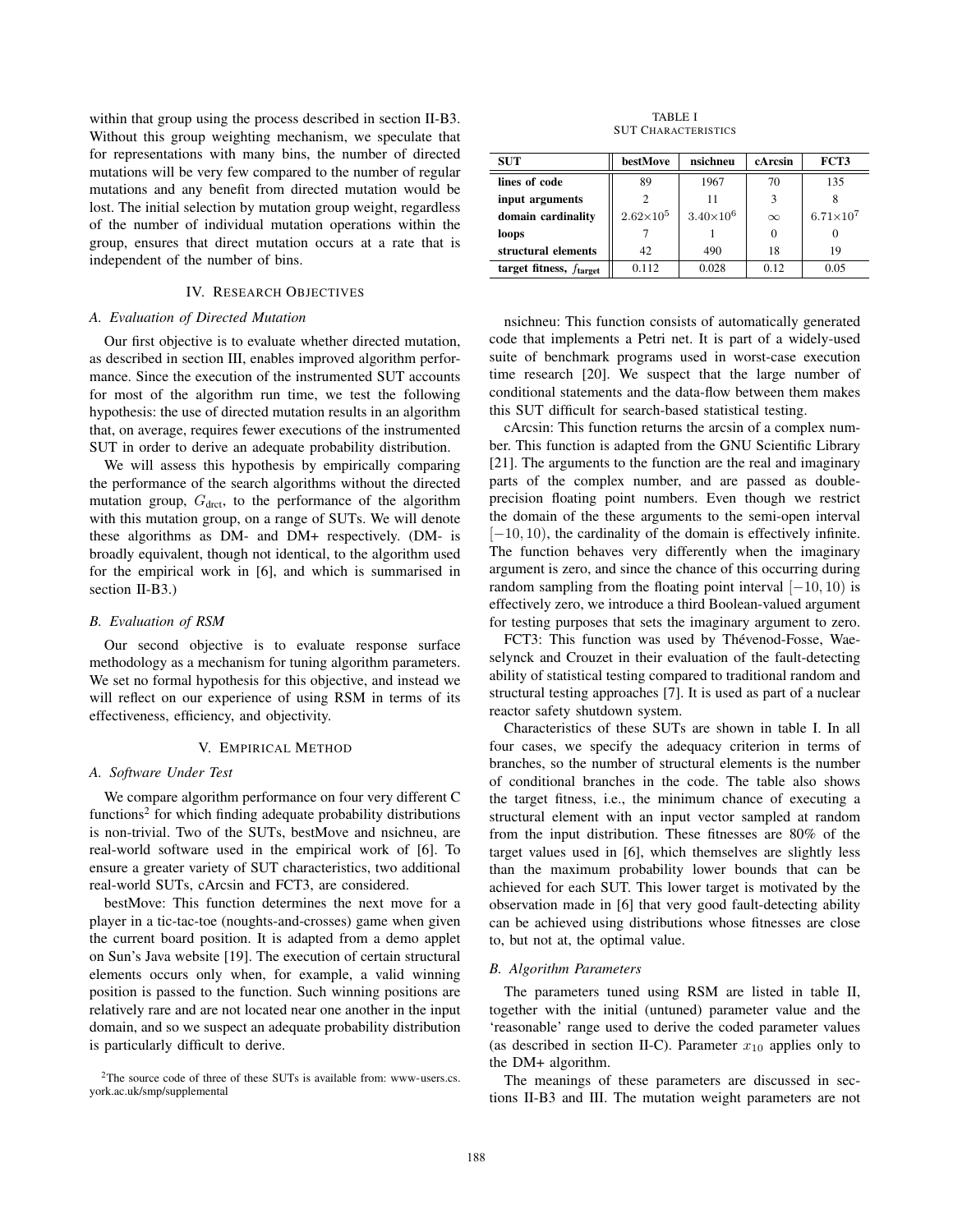within that group using the process described in section II-B3. Without this group weighting mechanism, we speculate that for representations with many bins, the number of directed mutations will be very few compared to the number of regular mutations and any benefit from directed mutation would be lost. The initial selection by mutation group weight, regardless of the number of individual mutation operations within the group, ensures that direct mutation occurs at a rate that is independent of the number of bins.

# IV. RESEARCH OBJECTIVES

# *A. Evaluation of Directed Mutation*

Our first objective is to evaluate whether directed mutation, as described in section III, enables improved algorithm performance. Since the execution of the instrumented SUT accounts for most of the algorithm run time, we test the following hypothesis: the use of directed mutation results in an algorithm that, on average, requires fewer executions of the instrumented SUT in order to derive an adequate probability distribution.

We will assess this hypothesis by empirically comparing the performance of the search algorithms without the directed mutation group,  $G<sub>drct</sub>$ , to the performance of the algorithm with this mutation group, on a range of SUTs. We will denote these algorithms as DM- and DM+ respectively. (DM- is broadly equivalent, though not identical, to the algorithm used for the empirical work in [6], and which is summarised in section II-B3.)

#### *B. Evaluation of RSM*

Our second objective is to evaluate response surface methodology as a mechanism for tuning algorithm parameters. We set no formal hypothesis for this objective, and instead we will reflect on our experience of using RSM in terms of its effectiveness, efficiency, and objectivity.

## V. EMPIRICAL METHOD

## *A. Software Under Test*

We compare algorithm performance on four very different C functions<sup>2</sup> for which finding adequate probability distributions is non-trivial. Two of the SUTs, bestMove and nsichneu, are real-world software used in the empirical work of [6]. To ensure a greater variety of SUT characteristics, two additional real-world SUTs, cArcsin and FCT3, are considered.

bestMove: This function determines the next move for a player in a tic-tac-toe (noughts-and-crosses) game when given the current board position. It is adapted from a demo applet on Sun's Java website [19]. The execution of certain structural elements occurs only when, for example, a valid winning position is passed to the function. Such winning positions are relatively rare and are not located near one another in the input domain, and so we suspect an adequate probability distribution is particularly difficult to derive.

TABLE I SUT CHARACTERISTICS

| SUT                                 | bestMove           | nsichneu           | cArcsin  | FCT3               |  |
|-------------------------------------|--------------------|--------------------|----------|--------------------|--|
| lines of code                       | 89                 | 1967               | 70       | 135                |  |
| input arguments                     |                    | 11                 | 3        |                    |  |
| domain cardinality                  | $2.62\times10^{5}$ | $3.40\times10^{6}$ | $\infty$ | $6.71\times10^{7}$ |  |
| loops                               |                    |                    | 0        |                    |  |
| structural elements                 | 42                 | 490                | 18       | 19                 |  |
| target fitness, $f_{\text{target}}$ | 0.112              | 0.028              | 0.12     | 0.05               |  |

nsichneu: This function consists of automatically generated code that implements a Petri net. It is part of a widely-used suite of benchmark programs used in worst-case execution time research [20]. We suspect that the large number of conditional statements and the data-flow between them makes this SUT difficult for search-based statistical testing.

cArcsin: This function returns the arcsin of a complex number. This function is adapted from the GNU Scientific Library [21]. The arguments to the function are the real and imaginary parts of the complex number, and are passed as doubleprecision floating point numbers. Even though we restrict the domain of the these arguments to the semi-open interval  $[-10, 10)$ , the cardinality of the domain is effectively infinite. The function behaves very differently when the imaginary argument is zero, and since the chance of this occurring during random sampling from the floating point interval  $[-10, 10)$  is effectively zero, we introduce a third Boolean-valued argument for testing purposes that sets the imaginary argument to zero.

FCT3: This function was used by Thévenod-Fosse, Waeselynck and Crouzet in their evaluation of the fault-detecting ability of statistical testing compared to traditional random and structural testing approaches [7]. It is used as part of a nuclear reactor safety shutdown system.

Characteristics of these SUTs are shown in table I. In all four cases, we specify the adequacy criterion in terms of branches, so the number of structural elements is the number of conditional branches in the code. The table also shows the target fitness, i.e., the minimum chance of executing a structural element with an input vector sampled at random from the input distribution. These fitnesses are 80% of the target values used in [6], which themselves are slightly less than the maximum probability lower bounds that can be achieved for each SUT. This lower target is motivated by the observation made in [6] that very good fault-detecting ability can be achieved using distributions whose fitnesses are close to, but not at, the optimal value.

#### *B. Algorithm Parameters*

The parameters tuned using RSM are listed in table II, together with the initial (untuned) parameter value and the 'reasonable' range used to derive the coded parameter values (as described in section II-C). Parameter  $x_{10}$  applies only to the DM+ algorithm.

The meanings of these parameters are discussed in sections II-B3 and III. The mutation weight parameters are not

<sup>&</sup>lt;sup>2</sup>The source code of three of these SUTs is available from: www-users.cs. york.ac.uk/smp/supplemental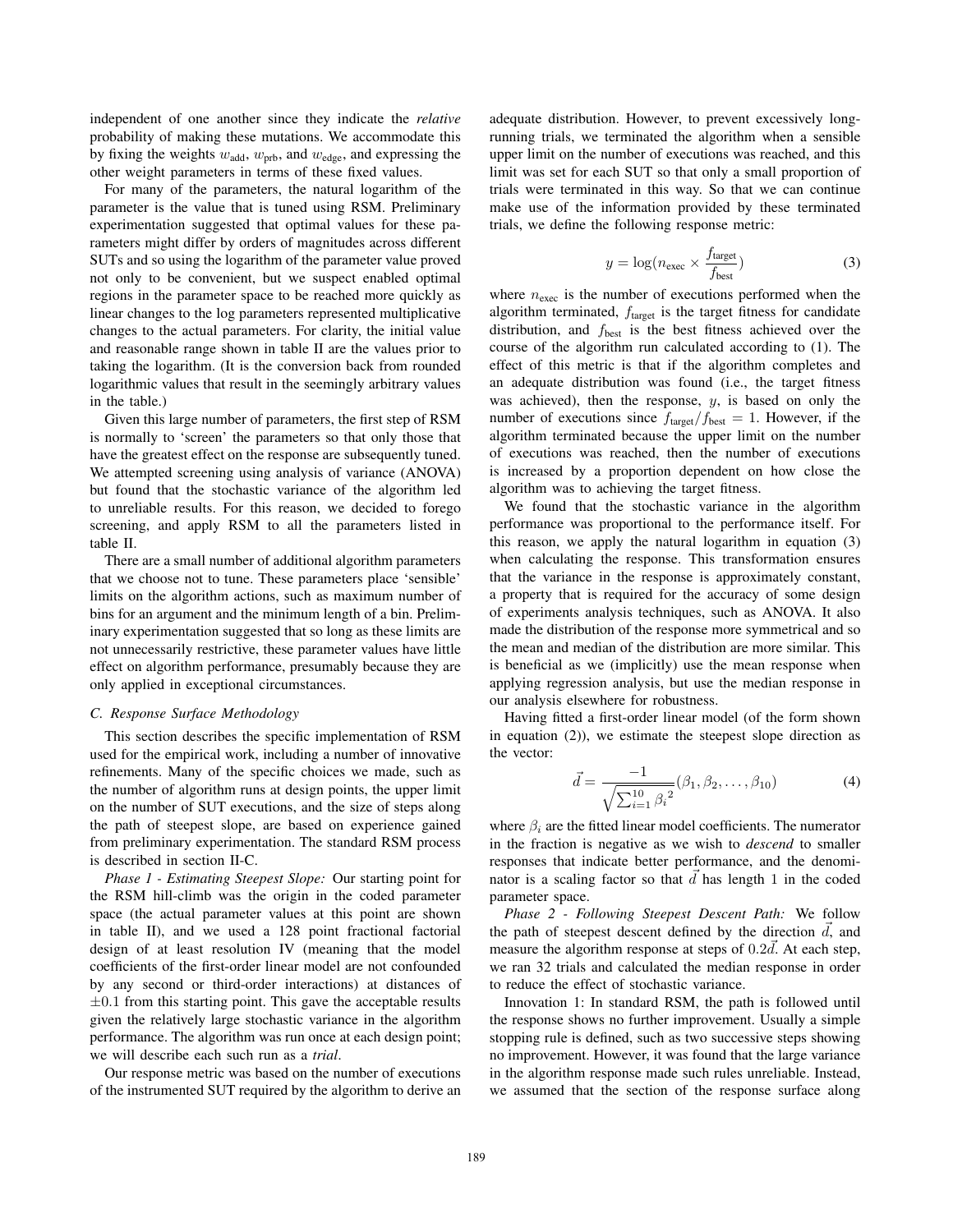independent of one another since they indicate the *relative* probability of making these mutations. We accommodate this by fixing the weights  $w_{\text{add}}$ ,  $w_{\text{prb}}$ , and  $w_{\text{edge}}$ , and expressing the other weight parameters in terms of these fixed values.

For many of the parameters, the natural logarithm of the parameter is the value that is tuned using RSM. Preliminary experimentation suggested that optimal values for these parameters might differ by orders of magnitudes across different SUTs and so using the logarithm of the parameter value proved not only to be convenient, but we suspect enabled optimal regions in the parameter space to be reached more quickly as linear changes to the log parameters represented multiplicative changes to the actual parameters. For clarity, the initial value and reasonable range shown in table II are the values prior to taking the logarithm. (It is the conversion back from rounded logarithmic values that result in the seemingly arbitrary values in the table.)

Given this large number of parameters, the first step of RSM is normally to 'screen' the parameters so that only those that have the greatest effect on the response are subsequently tuned. We attempted screening using analysis of variance (ANOVA) but found that the stochastic variance of the algorithm led to unreliable results. For this reason, we decided to forego screening, and apply RSM to all the parameters listed in table II.

There are a small number of additional algorithm parameters that we choose not to tune. These parameters place 'sensible' limits on the algorithm actions, such as maximum number of bins for an argument and the minimum length of a bin. Preliminary experimentation suggested that so long as these limits are not unnecessarily restrictive, these parameter values have little effect on algorithm performance, presumably because they are only applied in exceptional circumstances.

#### *C. Response Surface Methodology*

This section describes the specific implementation of RSM used for the empirical work, including a number of innovative refinements. Many of the specific choices we made, such as the number of algorithm runs at design points, the upper limit on the number of SUT executions, and the size of steps along the path of steepest slope, are based on experience gained from preliminary experimentation. The standard RSM process is described in section II-C.

*Phase 1 - Estimating Steepest Slope:* Our starting point for the RSM hill-climb was the origin in the coded parameter space (the actual parameter values at this point are shown in table II), and we used a 128 point fractional factorial design of at least resolution IV (meaning that the model coefficients of the first-order linear model are not confounded by any second or third-order interactions) at distances of  $\pm 0.1$  from this starting point. This gave the acceptable results given the relatively large stochastic variance in the algorithm performance. The algorithm was run once at each design point; we will describe each such run as a *trial*.

Our response metric was based on the number of executions of the instrumented SUT required by the algorithm to derive an

adequate distribution. However, to prevent excessively longrunning trials, we terminated the algorithm when a sensible upper limit on the number of executions was reached, and this limit was set for each SUT so that only a small proportion of trials were terminated in this way. So that we can continue make use of the information provided by these terminated trials, we define the following response metric:

$$
y = \log(n_{\text{exec}} \times \frac{f_{\text{target}}}{f_{\text{best}}})
$$
 (3)

where  $n_{\text{exec}}$  is the number of executions performed when the algorithm terminated,  $f_{\text{target}}$  is the target fitness for candidate distribution, and  $f_{\text{best}}$  is the best fitness achieved over the course of the algorithm run calculated according to (1). The effect of this metric is that if the algorithm completes and an adequate distribution was found (i.e., the target fitness was achieved), then the response,  $y$ , is based on only the number of executions since  $f_{\text{target}}/f_{\text{best}} = 1$ . However, if the algorithm terminated because the upper limit on the number of executions was reached, then the number of executions is increased by a proportion dependent on how close the algorithm was to achieving the target fitness.

We found that the stochastic variance in the algorithm performance was proportional to the performance itself. For this reason, we apply the natural logarithm in equation (3) when calculating the response. This transformation ensures that the variance in the response is approximately constant, a property that is required for the accuracy of some design of experiments analysis techniques, such as ANOVA. It also made the distribution of the response more symmetrical and so the mean and median of the distribution are more similar. This is beneficial as we (implicitly) use the mean response when applying regression analysis, but use the median response in our analysis elsewhere for robustness.

Having fitted a first-order linear model (of the form shown in equation (2)), we estimate the steepest slope direction as the vector:

$$
\vec{d} = \frac{-1}{\sqrt{\sum_{i=1}^{10} \beta_i^2}} (\beta_1, \beta_2, \dots, \beta_{10})
$$
 (4)

where  $\beta_i$  are the fitted linear model coefficients. The numerator in the fraction is negative as we wish to *descend* to smaller responses that indicate better performance, and the denominator is a scaling factor so that  $\vec{d}$  has length 1 in the coded parameter space.

*Phase 2 - Following Steepest Descent Path:* We follow the path of steepest descent defined by the direction  $\vec{d}$ , and measure the algorithm response at steps of  $0.2\vec{d}$ . At each step, we ran 32 trials and calculated the median response in order to reduce the effect of stochastic variance.

Innovation 1: In standard RSM, the path is followed until the response shows no further improvement. Usually a simple stopping rule is defined, such as two successive steps showing no improvement. However, it was found that the large variance in the algorithm response made such rules unreliable. Instead, we assumed that the section of the response surface along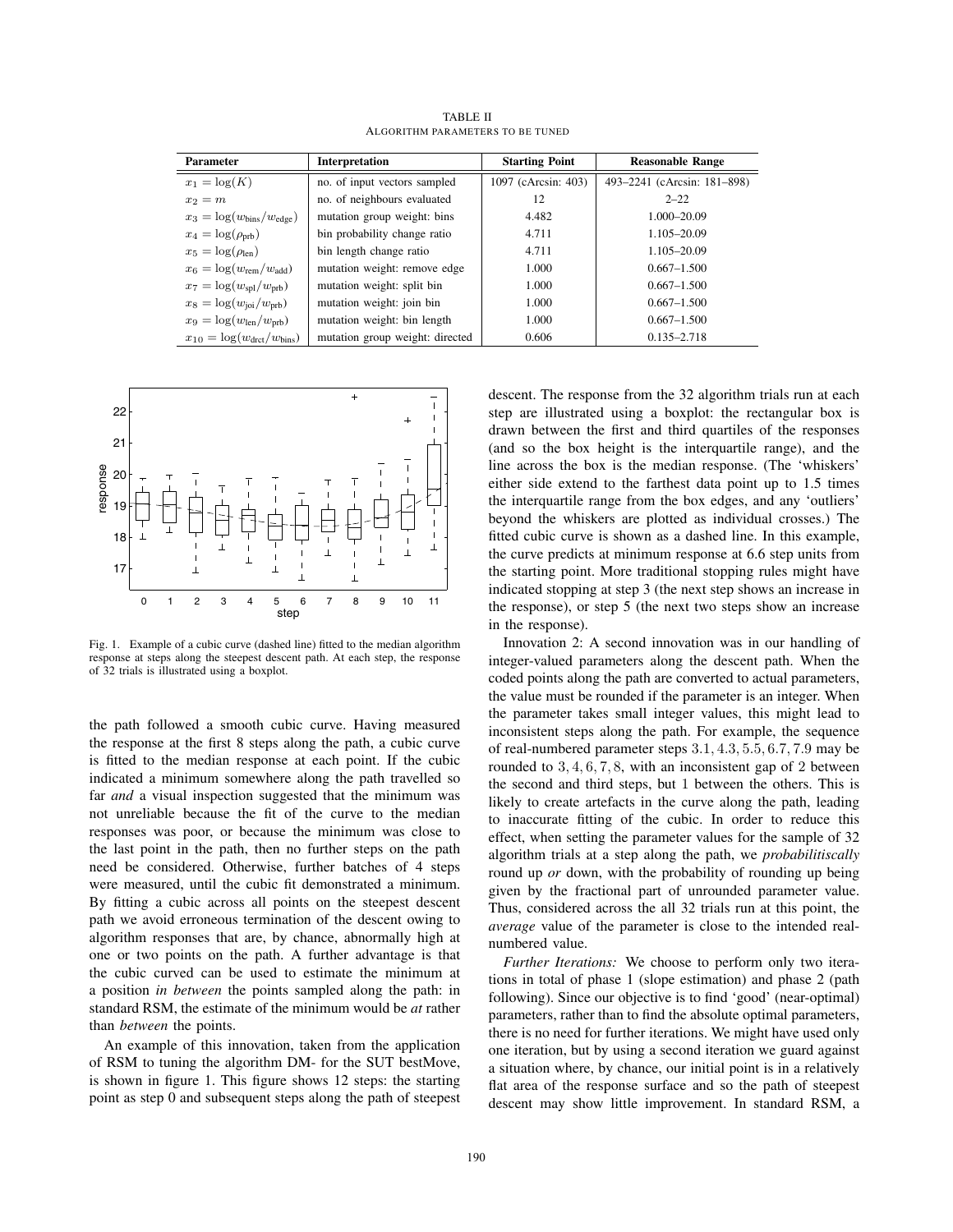| <b>Parameter</b>                                 | Interpretation                  | <b>Starting Point</b> | <b>Reasonable Range</b>     |  |  |
|--------------------------------------------------|---------------------------------|-----------------------|-----------------------------|--|--|
| $x_1 = \log(K)$                                  | no. of input vectors sampled    | 1097 (cArcsin: 403)   | 493-2241 (cArcsin: 181-898) |  |  |
| $x_2 = m$                                        | no. of neighbours evaluated     | 12                    | $2 - 22$                    |  |  |
| $x_3 = \log(w_{\text{bins}}/w_{\text{edge}})$    | mutation group weight: bins     | 4.482                 | 1.000-20.09                 |  |  |
| $x_4 = \log(\rho_{\text{orb}})$                  | bin probability change ratio    | 4.711                 | 1.105-20.09                 |  |  |
| $x_5 = \log(\rho_{\text{len}})$                  | bin length change ratio         | 4.711                 | 1.105-20.09                 |  |  |
| $x_6 = \log(w_{\text{rem}}/w_{\text{add}})$      | mutation weight: remove edge    | 1.000                 | $0.667 - 1.500$             |  |  |
| $x_7 = \log(w_{\rm{sol}}/w_{\rm{orb}})$          | mutation weight: split bin      | 1.000                 | $0.667 - 1.500$             |  |  |
| $x_8 = \log(w_{\text{ioi}}/w_{\text{prb}})$      | mutation weight: join bin       | 1.000                 | $0.667 - 1.500$             |  |  |
| $x_9 = \log(w_{\text{len}}/w_{\text{prb}})$      | mutation weight: bin length     | 1.000                 | $0.667 - 1.500$             |  |  |
| $x_{10} = \log(w_{\text{drct}}/w_{\text{bins}})$ | mutation group weight: directed | 0.606                 | $0.135 - 2.718$             |  |  |

TABLE II ALGORITHM PARAMETERS TO BE TUNED



Fig. 1. Example of a cubic curve (dashed line) fitted to the median algorithm response at steps along the steepest descent path. At each step, the response of 32 trials is illustrated using a boxplot.

the path followed a smooth cubic curve. Having measured the response at the first 8 steps along the path, a cubic curve is fitted to the median response at each point. If the cubic indicated a minimum somewhere along the path travelled so far *and* a visual inspection suggested that the minimum was not unreliable because the fit of the curve to the median responses was poor, or because the minimum was close to the last point in the path, then no further steps on the path need be considered. Otherwise, further batches of 4 steps were measured, until the cubic fit demonstrated a minimum. By fitting a cubic across all points on the steepest descent path we avoid erroneous termination of the descent owing to algorithm responses that are, by chance, abnormally high at one or two points on the path. A further advantage is that the cubic curved can be used to estimate the minimum at a position *in between* the points sampled along the path: in standard RSM, the estimate of the minimum would be *at* rather than *between* the points.

An example of this innovation, taken from the application of RSM to tuning the algorithm DM- for the SUT bestMove, is shown in figure 1. This figure shows 12 steps: the starting point as step 0 and subsequent steps along the path of steepest descent. The response from the 32 algorithm trials run at each step are illustrated using a boxplot: the rectangular box is drawn between the first and third quartiles of the responses (and so the box height is the interquartile range), and the line across the box is the median response. (The 'whiskers' either side extend to the farthest data point up to 1.5 times the interquartile range from the box edges, and any 'outliers' beyond the whiskers are plotted as individual crosses.) The fitted cubic curve is shown as a dashed line. In this example, the curve predicts at minimum response at 6.6 step units from the starting point. More traditional stopping rules might have indicated stopping at step 3 (the next step shows an increase in the response), or step 5 (the next two steps show an increase in the response).

Innovation 2: A second innovation was in our handling of integer-valued parameters along the descent path. When the coded points along the path are converted to actual parameters, the value must be rounded if the parameter is an integer. When the parameter takes small integer values, this might lead to inconsistent steps along the path. For example, the sequence of real-numbered parameter steps 3.1, 4.3, 5.5, 6.7, 7.9 may be rounded to 3, 4, 6, 7, 8, with an inconsistent gap of 2 between the second and third steps, but 1 between the others. This is likely to create artefacts in the curve along the path, leading to inaccurate fitting of the cubic. In order to reduce this effect, when setting the parameter values for the sample of 32 algorithm trials at a step along the path, we *probabilitiscally* round up *or* down, with the probability of rounding up being given by the fractional part of unrounded parameter value. Thus, considered across the all 32 trials run at this point, the *average* value of the parameter is close to the intended realnumbered value.

*Further Iterations:* We choose to perform only two iterations in total of phase 1 (slope estimation) and phase 2 (path following). Since our objective is to find 'good' (near-optimal) parameters, rather than to find the absolute optimal parameters, there is no need for further iterations. We might have used only one iteration, but by using a second iteration we guard against a situation where, by chance, our initial point is in a relatively flat area of the response surface and so the path of steepest descent may show little improvement. In standard RSM, a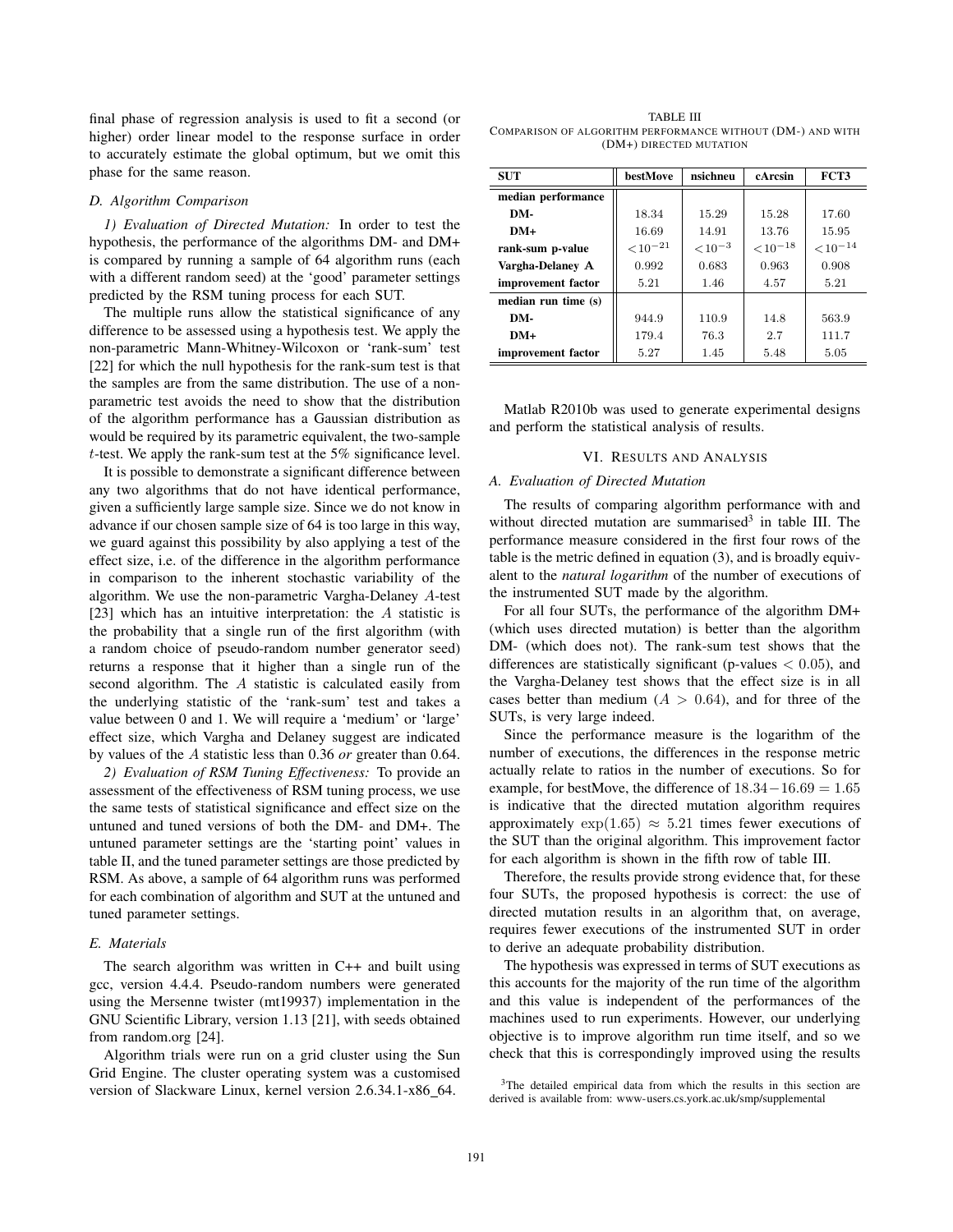final phase of regression analysis is used to fit a second (or higher) order linear model to the response surface in order to accurately estimate the global optimum, but we omit this phase for the same reason.

## *D. Algorithm Comparison*

*1) Evaluation of Directed Mutation:* In order to test the hypothesis, the performance of the algorithms DM- and DM+ is compared by running a sample of 64 algorithm runs (each with a different random seed) at the 'good' parameter settings predicted by the RSM tuning process for each SUT.

The multiple runs allow the statistical significance of any difference to be assessed using a hypothesis test. We apply the non-parametric Mann-Whitney-Wilcoxon or 'rank-sum' test [22] for which the null hypothesis for the rank-sum test is that the samples are from the same distribution. The use of a nonparametric test avoids the need to show that the distribution of the algorithm performance has a Gaussian distribution as would be required by its parametric equivalent, the two-sample  $t$ -test. We apply the rank-sum test at the 5% significance level.

It is possible to demonstrate a significant difference between any two algorithms that do not have identical performance, given a sufficiently large sample size. Since we do not know in advance if our chosen sample size of 64 is too large in this way, we guard against this possibility by also applying a test of the effect size, i.e. of the difference in the algorithm performance in comparison to the inherent stochastic variability of the algorithm. We use the non-parametric Vargha-Delaney  $A$ -test [23] which has an intuitive interpretation: the  $A$  statistic is the probability that a single run of the first algorithm (with a random choice of pseudo-random number generator seed) returns a response that it higher than a single run of the second algorithm. The  $A$  statistic is calculated easily from the underlying statistic of the 'rank-sum' test and takes a value between 0 and 1. We will require a 'medium' or 'large' effect size, which Vargha and Delaney suggest are indicated by values of the A statistic less than 0.36 *or* greater than 0.64.

*2) Evaluation of RSM Tuning Effectiveness:* To provide an assessment of the effectiveness of RSM tuning process, we use the same tests of statistical significance and effect size on the untuned and tuned versions of both the DM- and DM+. The untuned parameter settings are the 'starting point' values in table II, and the tuned parameter settings are those predicted by RSM. As above, a sample of 64 algorithm runs was performed for each combination of algorithm and SUT at the untuned and tuned parameter settings.

#### *E. Materials*

The search algorithm was written in C++ and built using gcc, version 4.4.4. Pseudo-random numbers were generated using the Mersenne twister (mt19937) implementation in the GNU Scientific Library, version 1.13 [21], with seeds obtained from random.org [24].

Algorithm trials were run on a grid cluster using the Sun Grid Engine. The cluster operating system was a customised version of Slackware Linux, kernel version 2.6.34.1-x86\_64.

TABLE III COMPARISON OF ALGORITHM PERFORMANCE WITHOUT (DM-) AND WITH (DM+) DIRECTED MUTATION

| <b>SUT</b>          | bestMove      | nsichneu     | cArcsin      | FCT3         |  |
|---------------------|---------------|--------------|--------------|--------------|--|
| median performance  |               |              |              |              |  |
| DM-                 | 18.34         | 15.29        | 15.28        | 17.60        |  |
| $DM+$               | 16.69         | 14.91        | 13.76        | 15.95        |  |
| rank-sum p-value    | $<\!10^{-21}$ | ${<}10^{-3}$ | $< 10^{-18}$ | $< 10^{-14}$ |  |
| Vargha-Delaney A    | 0.992         | 0.683        | 0.963        | 0.908        |  |
| improvement factor  | 5.21          | 1.46         | 4.57         | 5.21         |  |
| median run time (s) |               |              |              |              |  |
| DM-                 | 944.9         | 110.9        | 14.8         | 563.9        |  |
| $DM+$               | 179.4         | 76.3         | 2.7          | 111.7        |  |
| improvement factor  | 5.27          | 1.45         | 5.48         | 5.05         |  |

Matlab R2010b was used to generate experimental designs and perform the statistical analysis of results.

# VI. RESULTS AND ANALYSIS

# *A. Evaluation of Directed Mutation*

The results of comparing algorithm performance with and without directed mutation are summarised<sup>3</sup> in table III. The performance measure considered in the first four rows of the table is the metric defined in equation (3), and is broadly equivalent to the *natural logarithm* of the number of executions of the instrumented SUT made by the algorithm.

For all four SUTs, the performance of the algorithm DM+ (which uses directed mutation) is better than the algorithm DM- (which does not). The rank-sum test shows that the differences are statistically significant (p-values  $< 0.05$ ), and the Vargha-Delaney test shows that the effect size is in all cases better than medium ( $A > 0.64$ ), and for three of the SUTs, is very large indeed.

Since the performance measure is the logarithm of the number of executions, the differences in the response metric actually relate to ratios in the number of executions. So for example, for bestMove, the difference of  $18.34-16.69=1.65$ is indicative that the directed mutation algorithm requires approximately  $\exp(1.65) \approx 5.21$  times fewer executions of the SUT than the original algorithm. This improvement factor for each algorithm is shown in the fifth row of table III.

Therefore, the results provide strong evidence that, for these four SUTs, the proposed hypothesis is correct: the use of directed mutation results in an algorithm that, on average, requires fewer executions of the instrumented SUT in order to derive an adequate probability distribution.

The hypothesis was expressed in terms of SUT executions as this accounts for the majority of the run time of the algorithm and this value is independent of the performances of the machines used to run experiments. However, our underlying objective is to improve algorithm run time itself, and so we check that this is correspondingly improved using the results

<sup>&</sup>lt;sup>3</sup>The detailed empirical data from which the results in this section are derived is available from: www-users.cs.york.ac.uk/smp/supplemental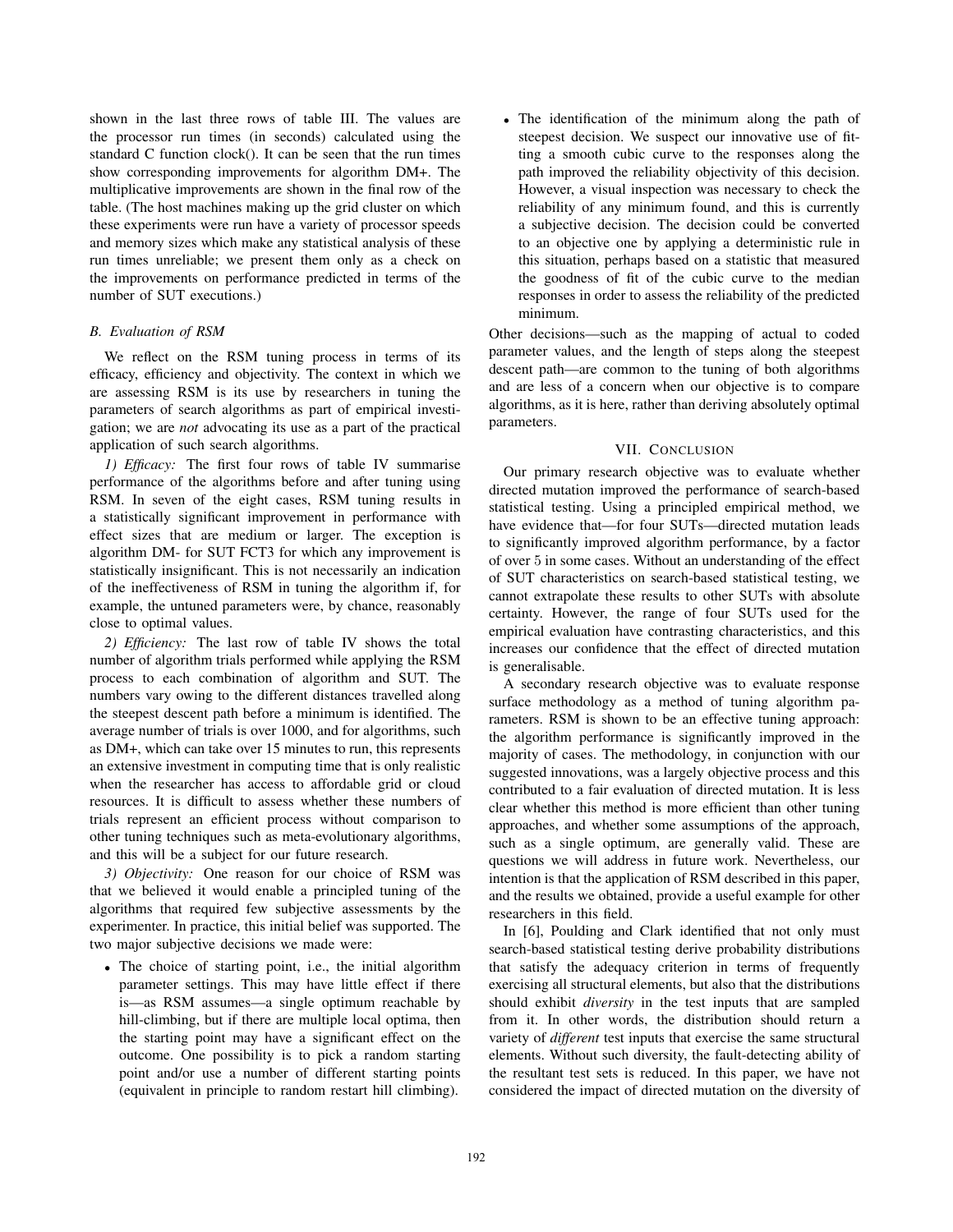shown in the last three rows of table III. The values are the processor run times (in seconds) calculated using the standard C function clock(). It can be seen that the run times show corresponding improvements for algorithm DM+. The multiplicative improvements are shown in the final row of the table. (The host machines making up the grid cluster on which these experiments were run have a variety of processor speeds and memory sizes which make any statistical analysis of these run times unreliable; we present them only as a check on the improvements on performance predicted in terms of the number of SUT executions.)

## *B. Evaluation of RSM*

We reflect on the RSM tuning process in terms of its efficacy, efficiency and objectivity. The context in which we are assessing RSM is its use by researchers in tuning the parameters of search algorithms as part of empirical investigation; we are *not* advocating its use as a part of the practical application of such search algorithms.

*1) Efficacy:* The first four rows of table IV summarise performance of the algorithms before and after tuning using RSM. In seven of the eight cases, RSM tuning results in a statistically significant improvement in performance with effect sizes that are medium or larger. The exception is algorithm DM- for SUT FCT3 for which any improvement is statistically insignificant. This is not necessarily an indication of the ineffectiveness of RSM in tuning the algorithm if, for example, the untuned parameters were, by chance, reasonably close to optimal values.

*2) Efficiency:* The last row of table IV shows the total number of algorithm trials performed while applying the RSM process to each combination of algorithm and SUT. The numbers vary owing to the different distances travelled along the steepest descent path before a minimum is identified. The average number of trials is over 1000, and for algorithms, such as DM+, which can take over 15 minutes to run, this represents an extensive investment in computing time that is only realistic when the researcher has access to affordable grid or cloud resources. It is difficult to assess whether these numbers of trials represent an efficient process without comparison to other tuning techniques such as meta-evolutionary algorithms, and this will be a subject for our future research.

*3) Objectivity:* One reason for our choice of RSM was that we believed it would enable a principled tuning of the algorithms that required few subjective assessments by the experimenter. In practice, this initial belief was supported. The two major subjective decisions we made were:

<sup>∙</sup> The choice of starting point, i.e., the initial algorithm parameter settings. This may have little effect if there is—as RSM assumes—a single optimum reachable by hill-climbing, but if there are multiple local optima, then the starting point may have a significant effect on the outcome. One possibility is to pick a random starting point and/or use a number of different starting points (equivalent in principle to random restart hill climbing).

<sup>∙</sup> The identification of the minimum along the path of steepest decision. We suspect our innovative use of fitting a smooth cubic curve to the responses along the path improved the reliability objectivity of this decision. However, a visual inspection was necessary to check the reliability of any minimum found, and this is currently a subjective decision. The decision could be converted to an objective one by applying a deterministic rule in this situation, perhaps based on a statistic that measured the goodness of fit of the cubic curve to the median responses in order to assess the reliability of the predicted minimum.

Other decisions—such as the mapping of actual to coded parameter values, and the length of steps along the steepest descent path—are common to the tuning of both algorithms and are less of a concern when our objective is to compare algorithms, as it is here, rather than deriving absolutely optimal parameters.

## VII. CONCLUSION

Our primary research objective was to evaluate whether directed mutation improved the performance of search-based statistical testing. Using a principled empirical method, we have evidence that—for four SUTs—directed mutation leads to significantly improved algorithm performance, by a factor of over 5 in some cases. Without an understanding of the effect of SUT characteristics on search-based statistical testing, we cannot extrapolate these results to other SUTs with absolute certainty. However, the range of four SUTs used for the empirical evaluation have contrasting characteristics, and this increases our confidence that the effect of directed mutation is generalisable.

A secondary research objective was to evaluate response surface methodology as a method of tuning algorithm parameters. RSM is shown to be an effective tuning approach: the algorithm performance is significantly improved in the majority of cases. The methodology, in conjunction with our suggested innovations, was a largely objective process and this contributed to a fair evaluation of directed mutation. It is less clear whether this method is more efficient than other tuning approaches, and whether some assumptions of the approach, such as a single optimum, are generally valid. These are questions we will address in future work. Nevertheless, our intention is that the application of RSM described in this paper, and the results we obtained, provide a useful example for other researchers in this field.

In [6], Poulding and Clark identified that not only must search-based statistical testing derive probability distributions that satisfy the adequacy criterion in terms of frequently exercising all structural elements, but also that the distributions should exhibit *diversity* in the test inputs that are sampled from it. In other words, the distribution should return a variety of *different* test inputs that exercise the same structural elements. Without such diversity, the fault-detecting ability of the resultant test sets is reduced. In this paper, we have not considered the impact of directed mutation on the diversity of